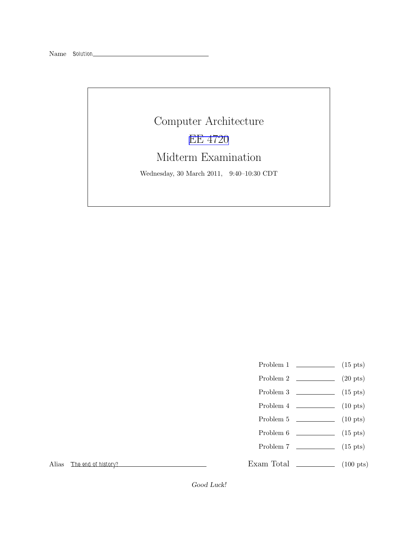# Computer Architecture [EE 4720](http://www.ece.lsu.edu/ee4720/) Midterm Examination Wednesday, 30 March 2011, 9:40–10:30 CDT

- Problem 1 (15 pts)
- Problem 2  $\qquad \qquad (20 \text{ pts})$
- Problem 3  $\qquad \qquad$  (15 pts)
- Problem 4 (10 pts)
- Problem 5  $\sqrt{10 \text{ pts}}$
- Problem  $6 \t\t(15 \text{ pts})$
- Problem 7 (15 pts)
- 

Exam Total \_\_\_\_\_\_\_\_\_\_\_\_\_\_ (100 pts)

Alias The end of history?

Good Luck!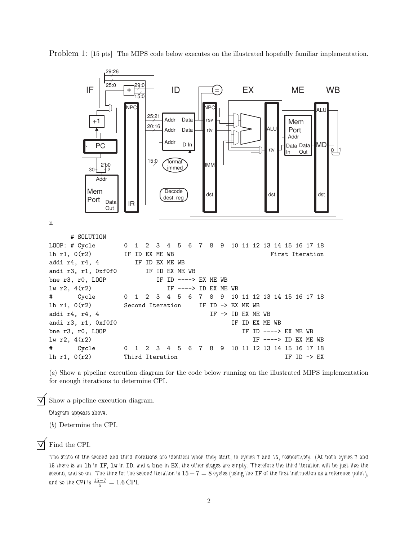

Problem 1: [15 pts] The MIPS code below executes on the illustrated hopefully familiar implementation.

(a) Show a pipeline execution diagram for the code below running on the illustrated MIPS implementation for enough iterations to determine CPI.

 $\triangledown$  Show a pipeline execution diagram.

Diagram appears above.

(b) Determine the CPI.

#### $\nabla$  Find the CPI.

The state of the second and third iterations are identical when they start, in cycles 7 and 15, respectively. (At both cycles 7 and 15 there is an lh in IF, lw in ID, and a bne in EX, the other stages are empty. Therefore the third iteration will be just like the second, and so on. The time for the second iteration is  $15-7=8$  cycles (using the IF of the first instruction as a reference point), and so the CPI is  $\frac{15-7}{5} = 1.6 \text{ CPI}.$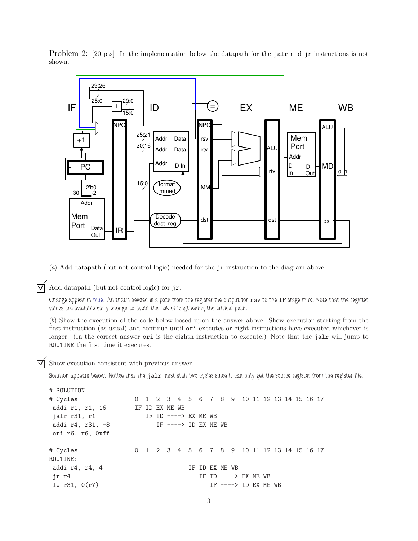Problem 2: [20 pts] In the implementation below the datapath for the jalr and jr instructions is not shown.



(a) Add datapath (but not control logic) needed for the jr instruction to the diagram above.

 $\triangledown$  Add datapath (but not control logic) for jr.

Change appear in blue. All that's needed is a path from the register file output for rsv to the IF-stage mux. Note that the register values are available early enough to avoid the risk of lengthening the critical path.

(b) Show the execution of the code below based upon the answer above. Show execution starting from the first instruction (as usual) and continue until ori executes or eight instructions have executed whichever is longer. (In the correct answer ori is the eighth instruction to execute.) Note that the jalr will jump to ROUTINE the first time it executes.

 $\triangledown$  Show execution consistent with previous answer.

Solution appears below. Notice that the jalr must stall two cycles since it can only get the source register from the register file.

```
# SOLUTION
# Cycles 0 1 2 3 4 5 6 7 8 9 10 11 12 13 14 15 16 17
addi r1, r1, 16 IF ID EX ME WB
jalr r31, r1 		 IF ID ----> EX ME WB
addi r4, r31, -8 IF ----> ID EX ME WB
ori r6, r6, 0xff
# Cycles 0 1 2 3 4 5 6 7 8 9 10 11 12 13 14 15 16 17
ROUTINE:
addi r4, r4, 4 IF ID EX ME WB
jr r4 IF ID ----> EX ME WB
lw r31, 0(r7) IF ----> ID EX ME WB
```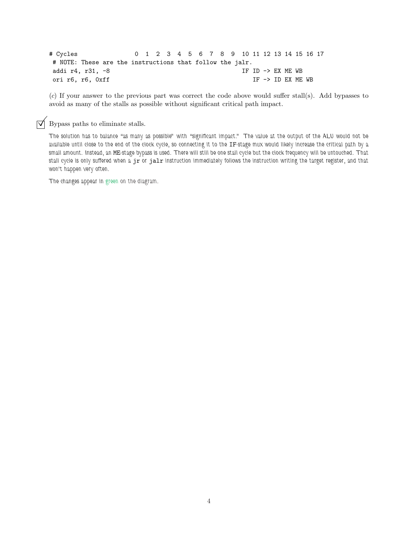# Cycles 0 1 2 3 4 5 6 7 8 9 10 11 12 13 14 15 16 17 # NOTE: These are the instructions that follow the jalr. addi r4, r31, -8 IF ID -> EX ME WB ori r6, r6, 0xff IF -> ID EX ME WB

(c) If your answer to the previous part was correct the code above would suffer stall(s). Add bypasses to avoid as many of the stalls as possible without significant critical path impact.

 $\triangledown$  Bypass paths to eliminate stalls.

The solution has to balance "as many as possible" with "significant impact." The value at the output of the ALU would not be available until close to the end of the clock cycle, so connecting it to the IF-stage mux would likely increase the critical path by a small amount. Instead, an ME-stage bypass is used. There will still be one stall cycle but the clock frequency will be untouched. That stall cycle is only suffered when a jr or jalr instruction immediately follows the instruction writing the target register, and that won't happen very often.

The changes appear in green on the diagram.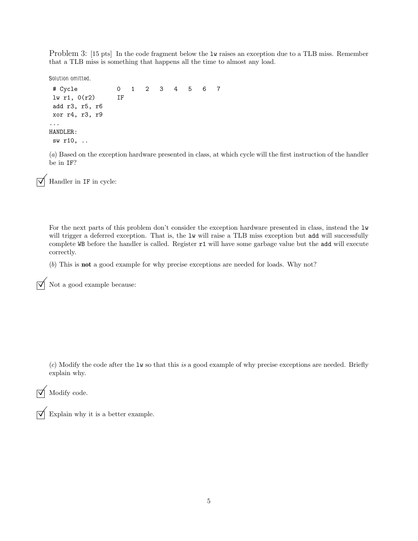Problem 3: [15 pts] In the code fragment below the  $1\text{w}$  raises an exception due to a TLB miss. Remember that a TLB miss is something that happens all the time to almost any load.

Solution omitted.

```
# Cycle 0 1 2 3 4 5 6 7
lw r1, 0(r2) IF
add r3, r5, r6
xor r4, r3, r9
...
HANDLER:
sw r10, ..
```
(a) Based on the exception hardware presented in class, at which cycle will the first instruction of the handler be in IF?

 $\overline{\bigvee}$  Handler in  $\mathtt{IF}$  in cycle:

For the next parts of this problem don't consider the exception hardware presented in class, instead the lw will trigger a deferred exception. That is, the lw will raise a TLB miss exception but add will successfully complete WB before the handler is called. Register r1 will have some garbage value but the add will execute correctly.

(b) This is not a good example for why precise exceptions are needed for loads. Why not?

 $\overrightarrow{\bigvee}$  Not a good example because:

 $(c)$  Modify the code after the lw so that this is a good example of why precise exceptions are needed. Briefly explain why.

 $\sqrt{\phantom{a}}$  Modify code.

 $\sqrt{\phantom{a}}$  Explain why it is a better example.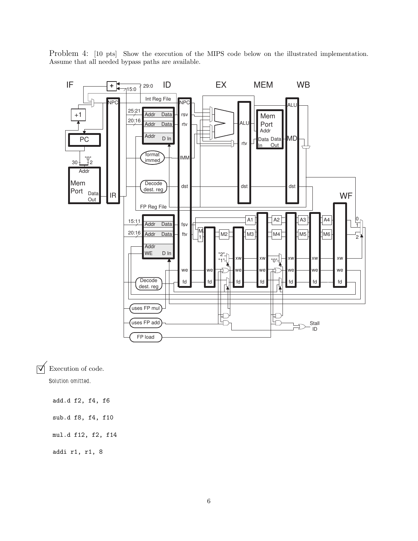Problem 4: [10 pts] Show the execution of the MIPS code below on the illustrated implementation. Assume that all needed bypass paths are available.



 $\triangledown$  Execution of code.

Solution omitted.

add.d f2, f4, f6

sub.d f8, f4, f10

mul.d f12, f2, f14

addi r1, r1, 8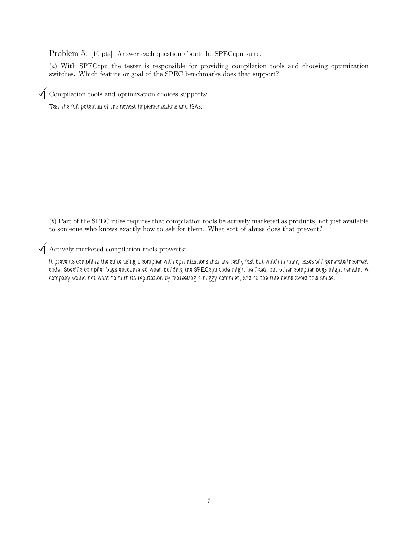Problem 5: [10 pts] Answer each question about the SPECcpu suite.

(a) With SPECcpu the tester is responsible for providing compilation tools and choosing optimization switches. Which feature or goal of the SPEC benchmarks does that support?

 $\triangledown$  Compilation tools and optimization choices supports:

Test the full potential of the newest implementations and ISAs.

(b) Part of the SPEC rules requires that compilation tools be actively marketed as products, not just available to someone who knows exactly how to ask for them. What sort of abuse does that prevent?

 $\triangledown$  Actively marketed compilation tools prevents:

It prevents compiling the suite using a compiler with optimizations that are really fast but which in many cases will generate incorrect code. Specific compiler bugs encountered when building the SPECcpu code might be fixed, but other compiler bugs might remain. A company would not want to hurt its reputation by marketing a buggy compiler, and so the rule helps avoid this abuse.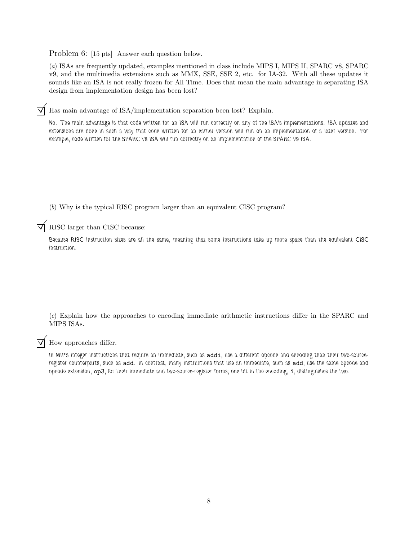Problem 6: [15 pts] Answer each question below.

(a) ISAs are frequently updated, examples mentioned in class include MIPS I, MIPS II, SPARC v8, SPARC v9, and the multimedia extensions such as MMX, SSE, SSE 2, etc. for IA-32. With all these updates it sounds like an ISA is not really frozen for All Time. Does that mean the main advantage in separating ISA design from implementation design has been lost?

 $\vec{\triangledown}$  Has main advantage of ISA/implementation separation been lost? Explain.

No. The main advantage is that code written for an ISA will run correctly on any of the ISA's implementations. ISA updates and extensions are done in such a way that code written for an earlier version will run on an implementation of a later version. For example, code written for the SPARC v8 ISA will run correctly on an implementation of the SPARC v9 ISA.

(b) Why is the typical RISC program larger than an equivalent CISC program?

RISC larger than CISC because:

Because RISC instruction sizes are all the same, meaning that some instructions take up more space than the equivalent CISC instruction.

(c) Explain how the approaches to encoding immediate arithmetic instructions differ in the SPARC and MIPS ISAs.

How approaches differ.

In MIPS integer instructions that require an immediate, such as addi, use a different opcode and encoding than their two-sourceregister counterparts, such as add. In contrast, many instructions that use an immediate, such as add, use the same opcode and opcode extension, op3, for their immediate and two-source-register forms; one bit in the encoding, i, distinguishes the two.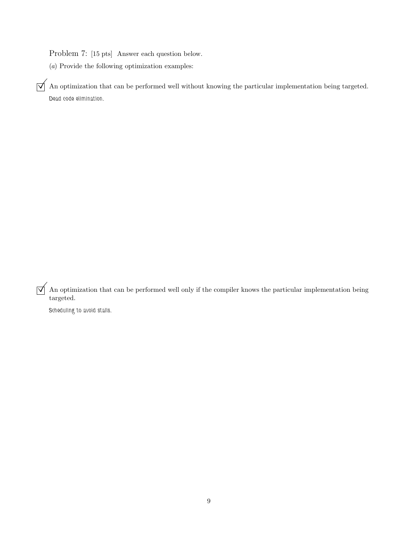Problem 7: [15 pts] Answer each question below.

(a) Provide the following optimization examples:

 $\mathcal{A}$  An optimization that can be performed well without knowing the particular implementation being targeted. Dead code elimination.

 $\Delta$  An optimization that can be performed well only if the compiler knows the particular implementation being targeted.

Scheduling to avoid stalls.